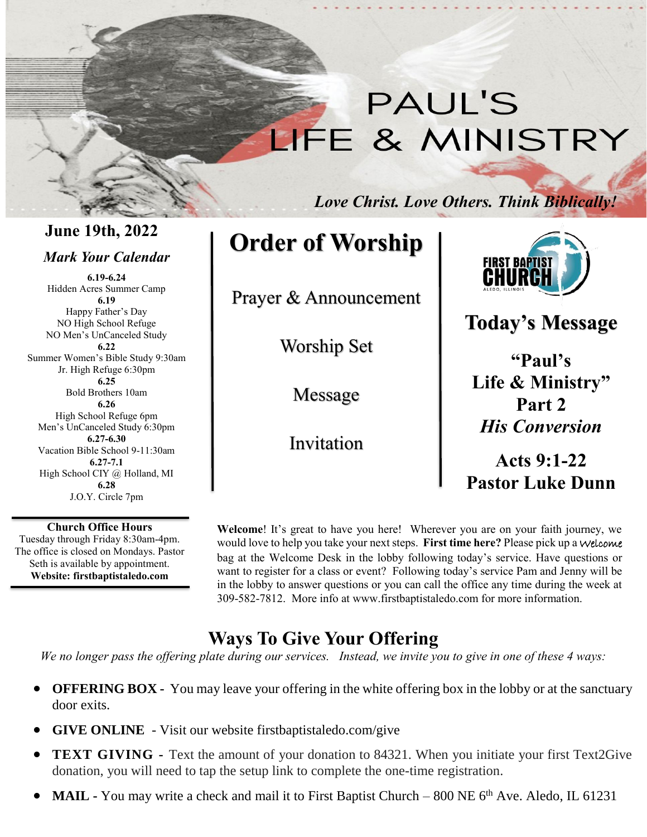# **PAUL'S** LIFE & MINISTRY

*Love Christ. Love Others. Think Biblically!*

**June 19th, 2022**

## *Mark Your Calendar*

**6.19-6.24** Hidden Acres Summer Camp **6.19** Happy Father's Day NO High School Refuge NO Men's UnCanceled Study **6.22** Summer Women's Bible Study 9:30am Jr. High Refuge 6:30pm **6.25** Bold Brothers 10am **6.26** High School Refuge 6pm Men's UnCanceled Study 6:30pm **6.27-6.30** Vacation Bible School 9-11:30am **6.27-7.1** High School CIY @ Holland, MI **6.28** J.O.Y. Circle 7pm

**Church Office Hours** Tuesday through Friday 8:30am-4pm. The office is closed on Mondays. Pastor Seth is available by appointment. **Website: firstbaptistaledo.com**

**Order of Worship**

Prayer & Announcement

Worship Set

Message

Invitation



## **Today's Message**

**"Paul's Life & Ministry" Part 2** *His Conversion* 

**Acts 9:1-22 Pastor Luke Dunn**

**Welcome**! It's great to have you here! Wherever you are on your faith journey, we would love to help you take your next steps. **First time here?** Please pick up a Welcome bag at the Welcome Desk in the lobby following today's service. Have questions or want to register for a class or event? Following today's service Pam and Jenny will be in the lobby to answer questions or you can call the office any time during the week at 309-582-7812. More info at www.firstbaptistaledo.com for more information.

## **Ways To Give Your Offering**

*We no longer pass the offering plate during our services. Instead, we invite you to give in one of these 4 ways:*

- **OFFERING BOX** You may leave your offering in the white offering box in the lobby or at the sanctuary door exits.
- **GIVE ONLINE** Visit our website firstbaptistaledo.com/give
- **TEXT GIVING -** Text the amount of your donation to 84321. When you initiate your first Text2Give donation, you will need to tap the setup link to complete the one-time registration.
- **MAIL -** You may write a check and mail it to First Baptist Church 800 NE 6<sup>th</sup> Ave. Aledo, IL 61231